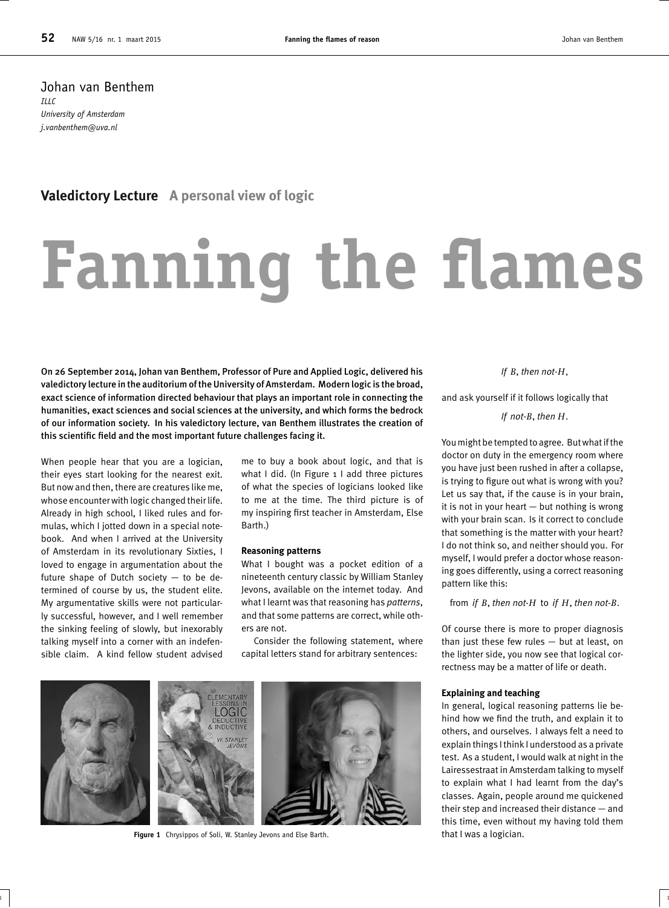Johan van Benthem  $IILC$ *University of Amsterdam j.vanbenthem@uva.nl*

#### **Valedictory Lecture A personal view of logic**

# **Fanning the flames**

On 26 September 2014, Johan van Benthem, Professor of Pure and Applied Logic, delivered his valedictory lecture in the auditorium of the University of Amsterdam. Modern logic is the broad, exact science of information directed behaviour that plays an important role in connecting the humanities, exact sciences and social sciences at the university, and which forms the bedrock of our information society. In his valedictory lecture, van Benthem illustrates the creation of this scientific field and the most important future challenges facing it.

When people hear that you are a logician, their eyes start looking for the nearest exit. But now and then, there are creatures like me, whose encounter with logic changed their life. Already in high school, I liked rules and formulas, which I jotted down in a special notebook. And when I arrived at the University of Amsterdam in its revolutionary Sixties, I loved to engage in argumentation about the future shape of Dutch society — to be determined of course by us, the student elite. My argumentative skills were not particularly successful, however, and I well remember the sinking feeling of slowly, but inexorably talking myself into a corner with an indefensible claim. A kind fellow student advised

me to buy a book about logic, and that is what I did. (In Figure 1 I add three pictures of what the species of logicians looked like to me at the time. The third picture is of my inspiring first teacher in Amsterdam, Else Barth.)

#### **Reasoning patterns**

What I bought was a pocket edition of a nineteenth century classic by William Stanley Jevons, available on the internet today. And what I learnt was that reasoning has *patterns*, and that some patterns are correct, while others are not.

Consider the following statement, where capital letters stand for arbitrary sentences:

 $\frac{1}{1}$  1



**Figure 1** Chrysippos of Soli, W. Stanley Jevons and Else Barth.

*If B*, *then not-H,*

and ask yourself if it follows logically that

*If not-B*, *then H.*

You might be tempted to agree. But what if the doctor on duty in the emergency room where you have just been rushed in after a collapse, is trying to figure out what is wrong with you? Let us say that, if the cause is in your brain, it is not in your heart — but nothing is wrong with your brain scan. Is it correct to conclude that something is the matter with your heart? I do not think so, and neither should you. For myself, I would prefer a doctor whose reasoning goes differently, using a correct reasoning pattern like this:

from *if B*, *then not-H* to *if H*, *then not-B.*

Of course there is more to proper diagnosis than just these few rules — but at least, on the lighter side, you now see that logical correctness may be a matter of life or death.

#### **Explaining and teaching**

In general, logical reasoning patterns lie behind how we find the truth, and explain it to others, and ourselves. I always felt a need to explain things I think I understood as a private test. As a student, I would walk at night in the Lairessestraat in Amsterdam talking to myself to explain what I had learnt from the day's classes. Again, people around me quickened their step and increased their distance — and this time, even without my having told them that I was a logician.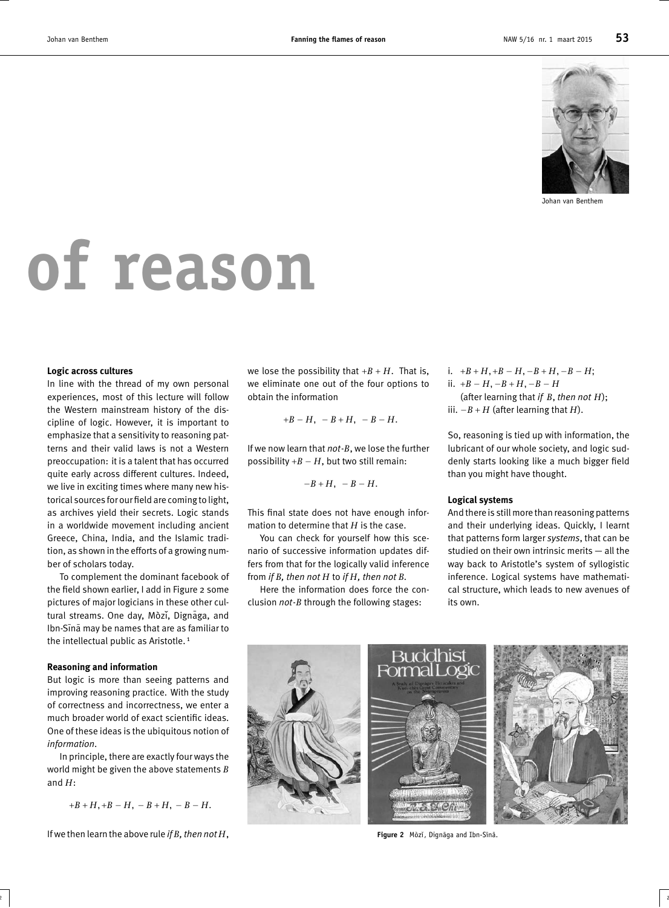

Johan van Benthem

## **of reason**

#### **Logic across cultures**

In line with the thread of my own personal experiences, most of this lecture will follow the Western mainstream history of the discipline of logic. However, it is important to emphasize that a sensitivity to reasoning patterns and their valid laws is not a Western preoccupation: it is a talent that has occurred quite early across different cultures. Indeed, we live in exciting times where many new historical sources for our field are coming to light, as archives yield their secrets. Logic stands in a worldwide movement including ancient Greece, China, India, and the Islamic tradition, as shown in the efforts of a growing number of scholars today.

To complement the dominant facebook of the field shown earlier, I add in Figure 2 some pictures of major logicians in these other cultural streams. One day, Mòzǐ, Dignāga, and Ibn-Sina may be names that are as familiar to the intellectual public as Aristotle.<sup>1</sup>

#### **Reasoning and information**

But logic is more than seeing patterns and improving reasoning practice. With the study of correctness and incorrectness, we enter a much broader world of exact scientific ideas. One of these ideas is the ubiquitous notion of *information*.

In principle, there are exactly four ways the world might be given the above statements *B* and *H*:

 $+B + H$ ,  $+B - H$ ,  $-B + H$ ,  $-B - H$ .

If we then learn the above rule *if B, then not H*,

we lose the possibility that  $+B + H$ . That is, we eliminate one out of the four options to obtain the information

$$
+B-H, -B+H, -B-H.
$$

If we now learn that *not*-*B*, we lose the further possibility  $+B - H$ , but two still remain:

$$
-B+H, -B-H.
$$

This final state does not have enough information to determine that *H* is the case.

You can check for yourself how this scenario of successive information updates differs from that for the logically valid inference from *if B, then not H* to *if H, then not B.*

Here the information does force the conclusion *not*-*B* through the following stages:

2 |  $\overline{2}$  |  $\overline{2}$  |  $\overline{2}$  |  $\overline{2}$  |  $\overline{2}$  |  $\overline{2}$  |  $\overline{2}$  |  $\overline{2}$  |  $\overline{2}$  |  $\overline{2}$  |  $\overline{2}$  |  $\overline{2}$  |  $\overline{2}$  |  $\overline{2}$  |  $\overline{2}$  |  $\overline{2}$  |  $\overline{2}$  |  $\overline{2}$  |  $\overline{2}$  |  $\overline{2}$ 

i.  $+B + H$ ,  $+B - H$ ,  $-B + H$ ,  $-B - H$ ; ii. +*B* − *H,* −*B* + *H,* −*B* − *H* (after learning that *if B*, *then not H*); iii. −*B* + *H* (after learning that *H*).

So, reasoning is tied up with information, the lubricant of our whole society, and logic suddenly starts looking like a much bigger field than you might have thought.

#### **Logical systems**

And there is still more than reasoning patterns and their underlying ideas. Quickly, I learnt that patterns form larger *systems*, that can be studied on their own intrinsic merits — all the way back to Aristotle's system of syllogistic inference. Logical systems have mathematical structure, which leads to new avenues of its own.



Figure 2 Mòzǐ, Dignāga and Ibn-Sīnā.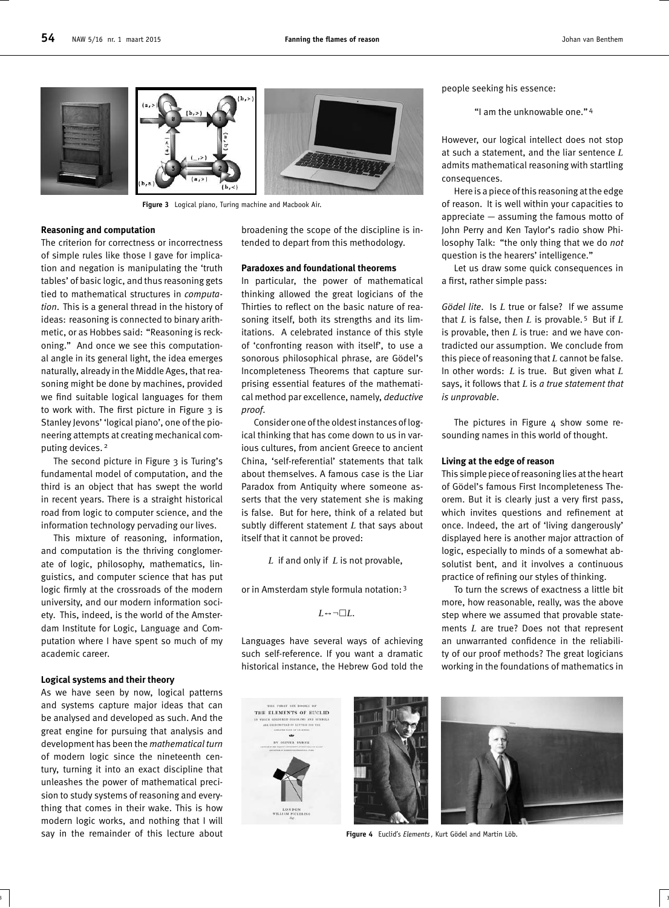



**Figure 3** Logical piano, Turing machine and Macbook Air.

#### **Reasoning and computation**

The criterion for correctness or incorrectness of simple rules like those I gave for implication and negation is manipulating the 'truth tables' of basic logic, and thus reasoning gets tied to mathematical structures in *computation*. This is a general thread in the history of ideas: reasoning is connected to binary arithmetic, or as Hobbes said: "Reasoning is reckoning." And once we see this computational angle in its general light, the idea emerges naturally, already in the Middle Ages, that reasoning might be done by machines, provided we find suitable logical languages for them to work with. The first picture in Figure 3 is Stanley Jevons' 'logical piano', one of the pioneering attempts at creating mechanical computing devices. <sup>2</sup>

The second picture in Figure 3 is Turing's fundamental model of computation, and the third is an object that has swept the world in recent years. There is a straight historical road from logic to computer science, and the information technology pervading our lives.

This mixture of reasoning, information, and computation is the thriving conglomerate of logic, philosophy, mathematics, linguistics, and computer science that has put logic firmly at the crossroads of the modern university, and our modern information society. This, indeed, is the world of the Amsterdam Institute for Logic, Language and Computation where I have spent so much of my academic career.

#### **Logical systems and their theory**

As we have seen by now, logical patterns and systems capture major ideas that can be analysed and developed as such. And the great engine for pursuing that analysis and development has been the *mathematical turn* of modern logic since the nineteenth century, turning it into an exact discipline that unleashes the power of mathematical precision to study systems of reasoning and everything that comes in their wake. This is how modern logic works, and nothing that I will say in the remainder of this lecture about broadening the scope of the discipline is intended to depart from this methodology.

#### **Paradoxes and foundational theorems**

In particular, the power of mathematical thinking allowed the great logicians of the Thirties to reflect on the basic nature of reasoning itself, both its strengths and its limitations. A celebrated instance of this style of 'confronting reason with itself', to use a sonorous philosophical phrase, are Gödel's Incompleteness Theorems that capture surprising essential features of the mathematical method par excellence, namely, *deductive proof*.

Consider one of the oldest instances of logical thinking that has come down to us in various cultures, from ancient Greece to ancient China, 'self-referential' statements that talk about themselves. A famous case is the Liar Paradox from Antiquity where someone asserts that the very statement she is making is false. But for here, think of a related but subtly different statement *L* that says about itself that it cannot be proved:

*L* if and only if *L* is not provable,

or in Amsterdam style formula notation: <sup>3</sup>

 $L \leftrightarrow \neg \Box L$ .

Languages have several ways of achieving such self-reference. If you want a dramatic historical instance, the Hebrew God told the

 $3$  ) and the contract of the contract of the contract of the contract of the contract of the contract of the contract of the contract of the contract of the contract of the contract of the contract of the contract of the





people seeking his essence:

"I am the unknowable one." <sup>4</sup>

However, our logical intellect does not stop at such a statement, and the liar sentence *L* admits mathematical reasoning with startling consequences.

Here is a piece of this reasoning at the edge of reason. It is well within your capacities to appreciate — assuming the famous motto of John Perry and Ken Taylor's radio show Philosophy Talk: "the only thing that we do *not* question is the hearers' intelligence."

Let us draw some quick consequences in a first, rather simple pass:

*Gödel lite*. Is *L* true or false? If we assume that *L* is false, then *L* is provable. <sup>5</sup> But if *L* is provable, then *L* is true: and we have contradicted our assumption. We conclude from this piece of reasoning that *L* cannot be false. In other words: *L* is true. But given what *L* says, it follows that *L* is *a true statement that is unprovable*.

The pictures in Figure  $4$  show some resounding names in this world of thought.

#### **Living at the edge of reason**

This simple piece of reasoning lies at the heart of Gödel's famous First Incompleteness Theorem. But it is clearly just a very first pass, which invites questions and refinement at once. Indeed, the art of 'living dangerously' displayed here is another major attraction of logic, especially to minds of a somewhat absolutist bent, and it involves a continuous practice of refining our styles of thinking.

To turn the screws of exactness a little bit more, how reasonable, really, was the above step where we assumed that provable statements *L* are true? Does not that represent an unwarranted confidence in the reliability of our proof methods? The great logicians working in the foundations of mathematics in



**Figure 4** Euclid's *Elements*, Kurt Gödel and Martin Löb.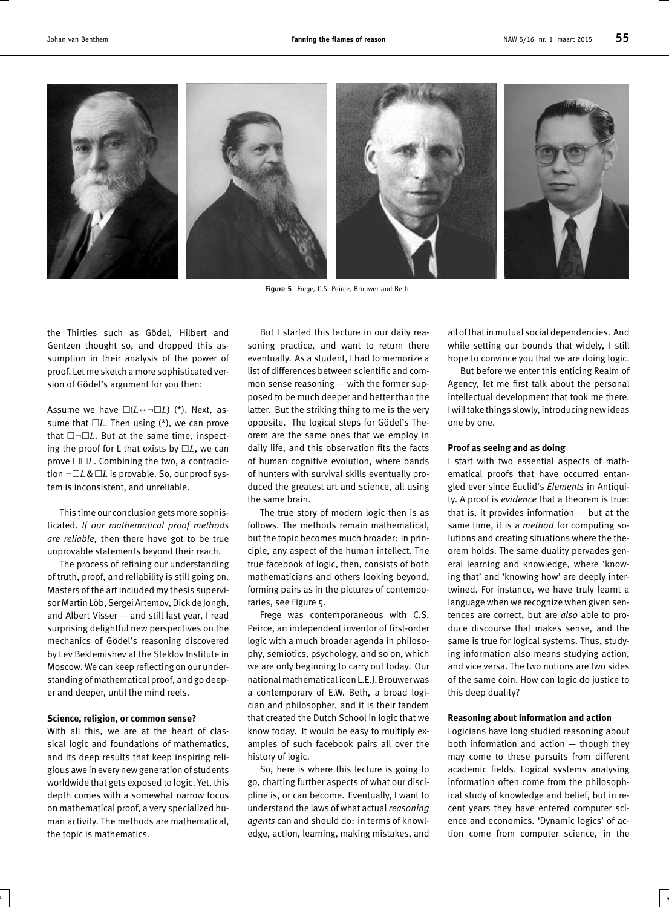

**Figure 5** Frege, C.S. Peirce, Brouwer and Beth.

the Thirties such as Gödel, Hilbert and Gentzen thought so, and dropped this assumption in their analysis of the power of proof. Let me sketch a more sophisticated version of Gödel's argument for you then:

Assume we have  $\square(L \leftrightarrow \neg \square L)$  (\*). Next, assume that  $\Box L$ . Then using ( $*$ ), we can prove that  $\square\neg\square L$ . But at the same time, inspecting the proof for L that exists by  $\Box L$ , we can prove  $\Box\Box L$ . Combining the two, a contradiction ¬*L*& *L* is provable. So, our proof system is inconsistent, and unreliable.

This time our conclusion gets more sophisticated. *If our mathematical proof methods are reliable*, then there have got to be true unprovable statements beyond their reach.

The process of refining our understanding of truth, proof, and reliability is still going on. Masters of the art included my thesis supervisor Martin Löb, Sergei Artemov, Dick de Jongh, and Albert Visser — and still last year, I read surprising delightful new perspectives on the mechanics of Gödel's reasoning discovered by Lev Beklemishev at the Steklov Institute in Moscow. We can keep reflecting on our understanding of mathematical proof, and go deeper and deeper, until the mind reels.

#### **Science, religion, or common sense?**

With all this, we are at the heart of classical logic and foundations of mathematics, and its deep results that keep inspiring religious awe in every new generation of students worldwide that gets exposed to logic. Yet, this depth comes with a somewhat narrow focus on mathematical proof, a very specialized human activity. The methods are mathematical, the topic is mathematics.

But I started this lecture in our daily reasoning practice, and want to return there eventually. As a student, I had to memorize a list of differences between scientific and common sense reasoning — with the former supposed to be much deeper and better than the latter. But the striking thing to me is the very opposite. The logical steps for Gödel's Theorem are the same ones that we employ in daily life, and this observation fits the facts of human cognitive evolution, where bands of hunters with survival skills eventually produced the greatest art and science, all using the same brain.

The true story of modern logic then is as follows. The methods remain mathematical, but the topic becomes much broader: in principle, any aspect of the human intellect. The true facebook of logic, then, consists of both mathematicians and others looking beyond, forming pairs as in the pictures of contemporaries, see Figure 5.

Frege was contemporaneous with C.S. Peirce, an independent inventor of first-order logic with a much broader agenda in philosophy, semiotics, psychology, and so on, which we are only beginning to carry out today. Our national mathematical icon L.E.J. Brouwer was a contemporary of E.W. Beth, a broad logician and philosopher, and it is their tandem that created the Dutch School in logic that we know today. It would be easy to multiply examples of such facebook pairs all over the history of logic.

So, here is where this lecture is going to go, charting further aspects of what our discipline is, or can become. Eventually, I want to understand the laws of what actual *reasoning agents* can and should do: in terms of knowledge, action, learning, making mistakes, and

 $\frac{4}{4}$ 

all of that in mutual social dependencies. And while setting our bounds that widely, I still hope to convince you that we are doing logic.

But before we enter this enticing Realm of Agency, let me first talk about the personal intellectual development that took me there. I will take things slowly, introducing new ideas one by one.

#### **Proof as seeing and as doing**

I start with two essential aspects of mathematical proofs that have occurred entangled ever since Euclid's *Elements* in Antiquity. A proof is *evidence* that a theorem is true: that is, it provides information  $-$  but at the same time, it is a *method* for computing solutions and creating situations where the theorem holds. The same duality pervades general learning and knowledge, where 'knowing that' and 'knowing how' are deeply intertwined. For instance, we have truly learnt a language when we recognize when given sentences are correct, but are *also* able to produce discourse that makes sense, and the same is true for logical systems. Thus, studying information also means studying action, and vice versa. The two notions are two sides of the same coin. How can logic do justice to this deep duality?

#### **Reasoning about information and action**

Logicians have long studied reasoning about both information and action — though they may come to these pursuits from different academic fields. Logical systems analysing information often come from the philosophical study of knowledge and belief, but in recent years they have entered computer science and economics. 'Dynamic logics' of action come from computer science, in the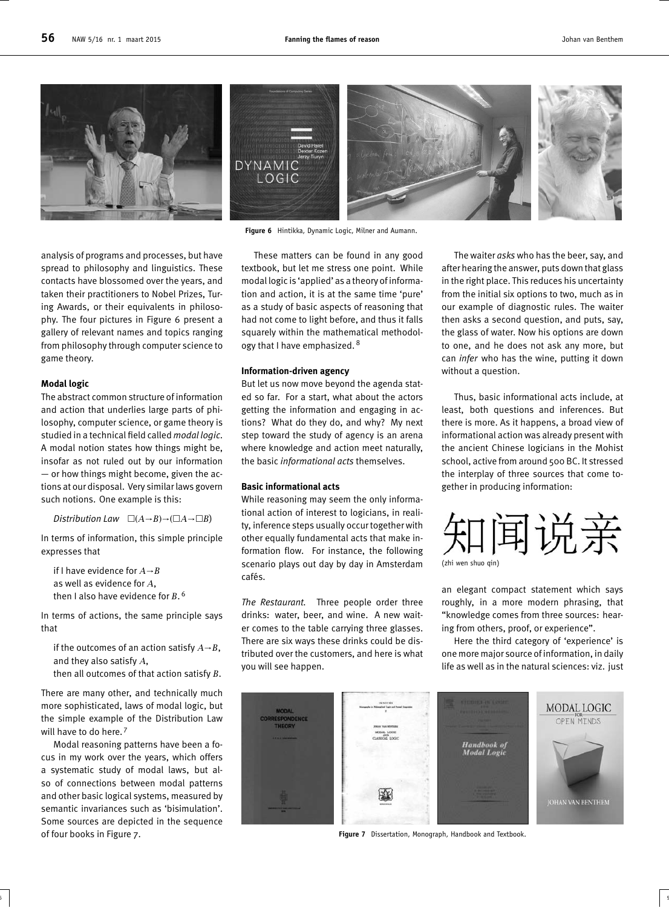

**Figure 6** Hintikka, Dynamic Logic, Milner and Aumann.

analysis of programs and processes, but have spread to philosophy and linguistics. These contacts have blossomed over the years, and taken their practitioners to Nobel Prizes, Turing Awards, or their equivalents in philosophy. The four pictures in Figure 6 present a gallery of relevant names and topics ranging from philosophy through computer science to game theory.

#### **Modal logic**

The abstract common structure of information and action that underlies large parts of philosophy, computer science, or game theory is studied in a technical field called *modal logic*. A modal notion states how things might be, insofar as not ruled out by our information — or how things might become, given the actions at our disposal. Very similar laws govern such notions. One example is this:

*Distribution Law*  $\Box(A \rightarrow B) \rightarrow (\Box A \rightarrow \Box B)$ 

In terms of information, this simple principle expresses that

if I have evidence for *A*→*B* as well as evidence for *A*, then I also have evidence for *B*. 6

In terms of actions, the same principle says that

if the outcomes of an action satisfy *A*→*B*, and they also satisfy *A*,

then all outcomes of that action satisfy *B*.

There are many other, and technically much more sophisticated, laws of modal logic, but the simple example of the Distribution Law will have to do here.<sup>7</sup>

Modal reasoning patterns have been a focus in my work over the years, which offers a systematic study of modal laws, but also of connections between modal patterns and other basic logical systems, measured by semantic invariances such as 'bisimulation'. Some sources are depicted in the sequence of four books in Figure 7.

These matters can be found in any good textbook, but let me stress one point. While modal logic is 'applied' as a theory of information and action, it is at the same time 'pure' as a study of basic aspects of reasoning that had not come to light before, and thus it falls squarely within the mathematical methodology that I have emphasized. 8

#### **Information-driven agency**

But let us now move beyond the agenda stated so far. For a start, what about the actors getting the information and engaging in actions? What do they do, and why? My next step toward the study of agency is an arena where knowledge and action meet naturally, the basic *informational acts* themselves.

#### **Basic informational acts**

While reasoning may seem the only informational action of interest to logicians, in reality, inference steps usually occur together with other equally fundamental acts that make information flow. For instance, the following scenario plays out day by day in Amsterdam cafés.

*The Restaurant.* Three people order three drinks: water, beer, and wine. A new waiter comes to the table carrying three glasses. There are six ways these drinks could be distributed over the customers, and here is what you will see happen.

 $5$  s and the set of the set of the set of the set of the set of the set of the set of the set of the set of the set of the set of the set of the set of the set of the set of the set of the set of the set of the set of th

The waiter *asks* who has the beer, say, and after hearing the answer, puts down that glass in the right place. This reduces his uncertainty from the initial six options to two, much as in our example of diagnostic rules. The waiter then asks a second question, and puts, say, the glass of water. Now his options are down to one, and he does not ask any more, but can *infer* who has the wine, putting it down without a question.

Thus, basic informational acts include, at least, both questions and inferences. But there is more. As it happens, a broad view of informational action was already present with the ancient Chinese logicians in the Mohist school, active from around 500 BC. It stressed the interplay of three sources that come together in producing information:



an elegant compact statement which says roughly, in a more modern phrasing, that "knowledge comes from three sources: hearing from others, proof, or experience".

Here the third category of 'experience' is one more major source of information, in daily life as well as in the natural sciences: viz. just



**Figure 7** Dissertation, Monograph, Handbook and Textbook.

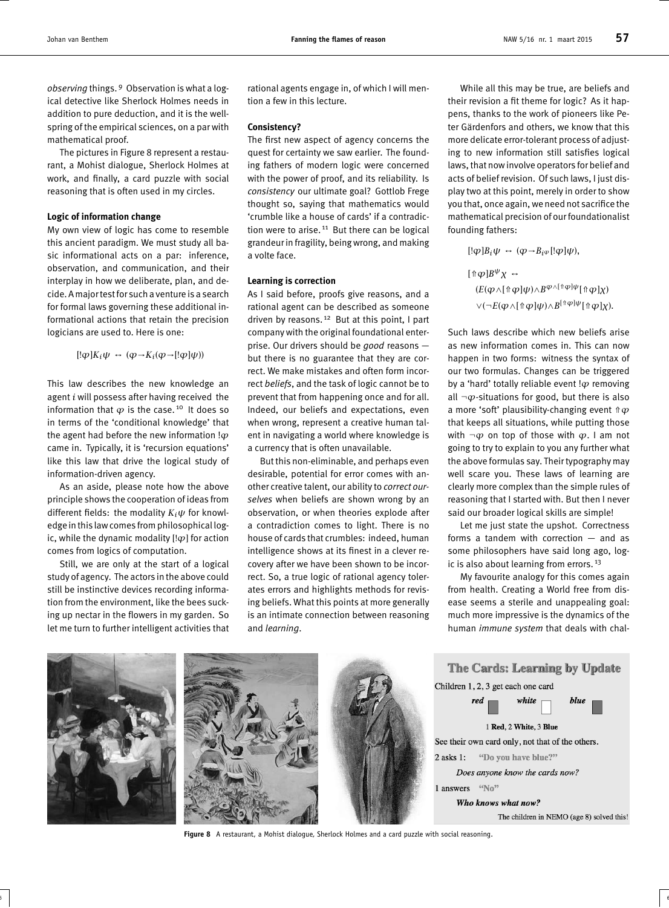*observing* things. <sup>9</sup> Observation is what a logical detective like Sherlock Holmes needs in addition to pure deduction, and it is the wellspring of the empirical sciences, on a par with mathematical proof.

The pictures in Figure 8 represent a restaurant, a Mohist dialogue, Sherlock Holmes at work, and finally, a card puzzle with social reasoning that is often used in my circles.

#### **Logic of information change**

My own view of logic has come to resemble this ancient paradigm. We must study all basic informational acts on a par: inference, observation, and communication, and their interplay in how we deliberate, plan, and decide. A major testfor such a venture is a search for formal laws governing these additional informational actions that retain the precision logicians are used to. Here is one:

$$
[!\varphi]K_i\psi \leftrightarrow (\varphi \rightarrow K_i(\varphi \rightarrow [!\varphi]\psi))
$$

This law describes the new knowledge an agent *i* will possess after having received the information that  $\varphi$  is the case.<sup>10</sup> It does so in terms of the 'conditional knowledge' that the agent had before the new information !*ϕ* came in. Typically, it is 'recursion equations' like this law that drive the logical study of information-driven agency.

As an aside, please note how the above principle shows the cooperation of ideas from different fields: the modality  $K_i \psi$  for knowledge in this law comes from philosophical logic, while the dynamic modality [!*ϕ*] for action comes from logics of computation.

Still, we are only at the start of a logical study of agency. The actors in the above could still be instinctive devices recording information from the environment, like the bees sucking up nectar in the flowers in my garden. So let me turn to further intelligent activities that rational agents engage in, of which I will mention a few in this lecture.

#### **Consistency?**

The first new aspect of agency concerns the quest for certainty we saw earlier. The founding fathers of modern logic were concerned with the power of proof, and its reliability. Is *consistency* our ultimate goal? Gottlob Frege thought so, saying that mathematics would 'crumble like a house of cards' if a contradiction were to arise.  $11$  But there can be logical grandeur in fragility, being wrong, and making a volte face.

#### **Learning is correction**

As I said before, proofs give reasons, and a rational agent can be described as someone driven by reasons.<sup>12</sup> But at this point, I part company with the original foundational enterprise. Our drivers should be *good* reasons but there is no guarantee that they are correct. We make mistakes and often form incorrect *beliefs*, and the task of logic cannot be to prevent that from happening once and for all. Indeed, our beliefs and expectations, even when wrong, represent a creative human talent in navigating a world where knowledge is a currency that is often unavailable.

But this non-eliminable, and perhaps even desirable, potential for error comes with another creative talent, our ability to *correct ourselves* when beliefs are shown wrong by an observation, or when theories explode after a contradiction comes to light. There is no house of cards that crumbles: indeed, human intelligence shows at its finest in a clever recovery after we have been shown to be incorrect. So, a true logic of rational agency tolerates errors and highlights methods for revising beliefs. What this points at more generally is an intimate connection between reasoning and *learning*.

While all this may be true, are beliefs and their revision a fit theme for logic? As it happens, thanks to the work of pioneers like Peter Gärdenfors and others, we know that this more delicate error-tolerant process of adjusting to new information still satisfies logical laws, that now involve operators for belief and acts of belief revision. Of such laws, I just display two at this point, merely in order to show you that, once again, we need not sacrifice the mathematical precision of our foundationalist founding fathers:

$$
[!\varphi]B_i\psi \leftrightarrow (\varphi \rightarrow B_{i}\varphi [!\varphi]\psi),
$$
  

$$
[\Uparrow \varphi]B^{\psi}\chi \leftrightarrow
$$
  

$$
(E(\varphi \land [\Uparrow \varphi]\psi) \land B^{\varphi \land [\Uparrow \varphi]\psi}[\Uparrow \varphi]\chi)
$$
  

$$
\lor (\neg E(\varphi \land [\Uparrow \varphi]\psi) \land B^{[\Uparrow \varphi]\psi}[\Uparrow \varphi]\chi).
$$

Such laws describe which new beliefs arise as new information comes in. This can now happen in two forms: witness the syntax of our two formulas. Changes can be triggered by a 'hard' totally reliable event !*ϕ* removing all ¬*ϕ*-situations for good, but there is also a more 'soft' plausibility-changing event ⇑*ϕ* that keeps all situations, while putting those with  $\neg \varphi$  on top of those with  $\varphi$ . I am not going to try to explain to you any further what the above formulas say. Their typography may well scare you. These laws of learning are clearly more complex than the simple rules of reasoning that I started with. But then I never said our broader logical skills are simple!

Let me just state the upshot. Correctness forms a tandem with correction — and as some philosophers have said long ago, logic is also about learning from errors.<sup>13</sup>

My favourite analogy for this comes again from health. Creating a World free from disease seems a sterile and unappealing goal: much more impressive is the dynamics of the human *immune system* that deals with chal-



**Figure 8** A restaurant, a Mohist dialogue, Sherlock Holmes and a card puzzle with social reasoning.

 $\overline{6}$   $\overline{6}$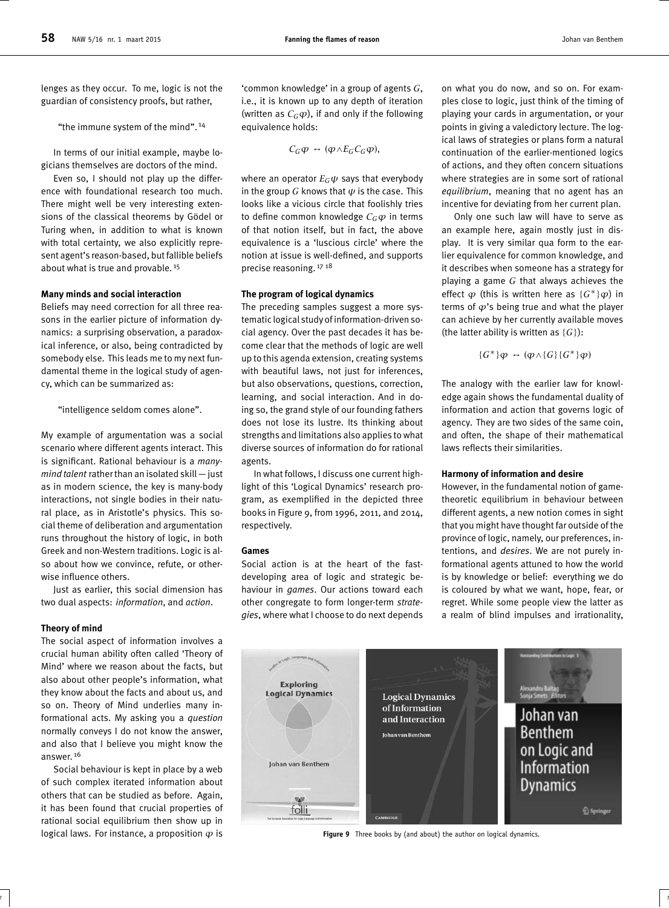lenges as they occur. To me, logic is not the guardian of consistency proofs, but rather,

"the immune system of the mind". <sup>14</sup>

In terms of our initial example, maybe logicians themselves are doctors of the mind.

Even so, I should not play up the difference with foundational research too much. There might well be very interesting extensions of the classical theorems by Gödel or Turing when, in addition to what is known with total certainty, we also explicitly represent agent's reason-based, but fallible beliefs about what is true and provable. <sup>15</sup>

#### **Many minds and social interaction**

Beliefs may need correction for all three reasons in the earlier picture of information dynamics: a surprising observation, a paradoxical inference, or also, being contradicted by somebody else. This leads me to my next fundamental theme in the logical study of agency, which can be summarized as:

"intelligence seldom comes alone".

My example of argumentation was a social scenario where different agents interact. This is significant. Rational behaviour is a *manymind talent* rather than an isolated skill — just as in modern science, the key is many-body interactions, not single bodies in their natural place, as in Aristotle's physics. This social theme of deliberation and argumentation runs throughout the history of logic, in both Greek and non-Western traditions. Logic is also about how we convince, refute, or otherwise influence others.

Just as earlier, this social dimension has two dual aspects: *information*, and *action*.

#### **Theory of mind**

The social aspect of information involves a crucial human ability often called 'Theory of Mind' where we reason about the facts, but also about other people's information, what they know about the facts and about us, and so on. Theory of Mind underlies many informational acts. My asking you a *question* normally conveys I do not know the answer, and also that I believe you might know the answer. <sup>16</sup>

Social behaviour is kept in place by a web of such complex iterated information about others that can be studied as before. Again, it has been found that crucial properties of rational social equilibrium then show up in logical laws. For instance, a proposition *ϕ* is

'common knowledge' in a group of agents *G*, i.e., it is known up to any depth of iteration (written as  $C_G\varphi$ ), if and only if the following equivalence holds:

$$
C_G\varphi \leftrightarrow (\varphi \wedge E_G C_G\varphi),
$$

where an operator  $E_G \psi$  says that everybody in the group *G* knows that *ψ* is the case. This looks like a vicious circle that foolishly tries to define common knowledge *CGϕ* in terms of that notion itself, but in fact, the above equivalence is a 'luscious circle' where the notion at issue is well-defined, and supports precise reasoning. 17 18

#### **The program of logical dynamics**

The preceding samples suggest a more systematic logical study of information-driven social agency. Over the past decades it has become clear that the methods of logic are well up to this agenda extension, creating systems with beautiful laws, not just for inferences, but also observations, questions, correction, learning, and social interaction. And in doing so, the grand style of our founding fathers does not lose its lustre. Its thinking about strengths and limitations also applies to what diverse sources of information do for rational agents.

In what follows, I discuss one current highlight of this 'Logical Dynamics' research program, as exemplified in the depicted three books in Figure 9, from 1996, 2011, and 2014, respectively.

#### **Games**

Social action is at the heart of the fastdeveloping area of logic and strategic behaviour in *games*. Our actions toward each other congregate to form longer-term *strategies*, where what I choose to do next depends

 $7$   $\vert$ 

on what you do now, and so on. For examples close to logic, just think of the timing of playing your cards in argumentation, or your points in giving a valedictory lecture. The logical laws of strategies or plans form a natural continuation of the earlier-mentioned logics of actions, and they often concern situations where strategies are in some sort of rational *equilibrium*, meaning that no agent has an incentive for deviating from her current plan.

Only one such law will have to serve as an example here, again mostly just in display. It is very similar qua form to the earlier equivalence for common knowledge, and it describes when someone has a strategy for playing a game *G* that always achieves the effect  $\varphi$  (this is written here as  $\{G^*\}\varphi$ ) in terms of *ϕ*'s being true and what the player can achieve by her currently available moves (the latter ability is written as  ${G}$ ):

$$
\{G^*\}\varphi \leftrightarrow (\varphi \wedge \{G\}\{G^*\}\varphi)
$$

The analogy with the earlier law for knowledge again shows the fundamental duality of information and action that governs logic of agency. They are two sides of the same coin, and often, the shape of their mathematical laws reflects their similarities.

#### **Harmony of information and desire**

However, in the fundamental notion of gametheoretic equilibrium in behaviour between different agents, a new notion comes in sight that you might have thought far outside of the province of logic, namely, our preferences, intentions, and *desires*. We are not purely informational agents attuned to how the world is by knowledge or belief: everything we do is coloured by what we want, hope, fear, or regret. While some people view the latter as a realm of blind impulses and irrationality,



**Figure 9** Three books by (and about) the author on logical dynamics.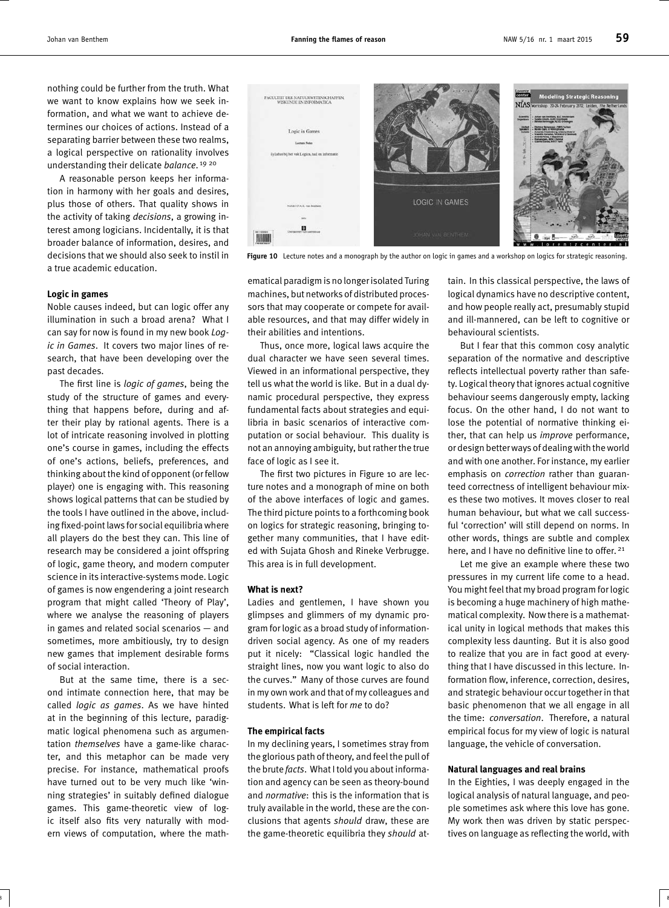nothing could be further from the truth. What we want to know explains how we seek information, and what we want to achieve determines our choices of actions. Instead of a separating barrier between these two realms, a logical perspective on rationality involves understanding their delicate *balance*. 19 20

A reasonable person keeps her information in harmony with her goals and desires, plus those of others. That quality shows in the activity of taking *decisions*, a growing interest among logicians. Incidentally, it is that broader balance of information, desires, and decisions that we should also seek to instil in a true academic education.

#### **Logic in games**

Noble causes indeed, but can logic offer any illumination in such a broad arena? What I can say for now is found in my new book *Logic in Games*. It covers two major lines of research, that have been developing over the past decades.

The first line is *logic of games*, being the study of the structure of games and everything that happens before, during and after their play by rational agents. There is a lot of intricate reasoning involved in plotting one's course in games, including the effects of one's actions, beliefs, preferences, and thinking about the kind of opponent (or fellow player) one is engaging with. This reasoning shows logical patterns that can be studied by the tools I have outlined in the above, including fixed-point laws for social equilibria where all players do the best they can. This line of research may be considered a joint offspring of logic, game theory, and modern computer science in its interactive-systems mode. Logic of games is now engendering a joint research program that might called 'Theory of Play', where we analyse the reasoning of players in games and related social scenarios — and sometimes, more ambitiously, try to design new games that implement desirable forms of social interaction.

But at the same time, there is a second intimate connection here, that may be called *logic as games*. As we have hinted at in the beginning of this lecture, paradigmatic logical phenomena such as argumentation *themselves* have a game-like character, and this metaphor can be made very precise. For instance, mathematical proofs have turned out to be very much like 'winning strategies' in suitably defined dialogue games. This game-theoretic view of logic itself also fits very naturally with modern views of computation, where the math-



**Figure 10** Lecture notes and a monograph by the author on logic in games and a workshop on logics for strategic reasoning.

ematical paradigm is no longer isolated Turing machines, but networks of distributed processors that may cooperate or compete for available resources, and that may differ widely in their abilities and intentions.

Thus, once more, logical laws acquire the dual character we have seen several times. Viewed in an informational perspective, they tell us what the world is like. But in a dual dynamic procedural perspective, they express fundamental facts about strategies and equilibria in basic scenarios of interactive computation or social behaviour. This duality is not an annoying ambiguity, but rather the true face of logic as I see it.

The first two pictures in Figure 10 are lecture notes and a monograph of mine on both of the above interfaces of logic and games. The third picture points to a forthcoming book on logics for strategic reasoning, bringing together many communities, that I have edited with Sujata Ghosh and Rineke Verbrugge. This area is in full development.

#### **What is next?**

Ladies and gentlemen, I have shown you glimpses and glimmers of my dynamic program for logic as a broad study of informationdriven social agency. As one of my readers put it nicely: "Classical logic handled the straight lines, now you want logic to also do the curves." Many of those curves are found in my own work and that of my colleagues and students. What is left for *me* to do?

#### **The empirical facts**

In my declining years, I sometimes stray from the glorious path of theory, and feel the pull of the brute *facts*. What I told you about information and agency can be seen as theory-bound and *normative*: this is the information that is truly available in the world, these are the conclusions that agents *should* draw, these are the game-theoretic equilibria they *should* at-

 $8$  8  $\pm$ 

tain. In this classical perspective, the laws of logical dynamics have no descriptive content, and how people really act, presumably stupid and ill-mannered, can be left to cognitive or behavioural scientists.

But I fear that this common cosy analytic separation of the normative and descriptive reflects intellectual poverty rather than safety. Logical theory that ignores actual cognitive behaviour seems dangerously empty, lacking focus. On the other hand, I do not want to lose the potential of normative thinking either, that can help us *improve* performance, or design better ways of dealing with the world and with one another. For instance, my earlier emphasis on *correction* rather than guaranteed correctness of intelligent behaviour mixes these two motives. It moves closer to real human behaviour, but what we call successful 'correction' will still depend on norms. In other words, things are subtle and complex here, and I have no definitive line to offer.<sup>21</sup>

Let me give an example where these two pressures in my current life come to a head. You might feel that my broad program for logic is becoming a huge machinery of high mathematical complexity. Now there is a mathematical unity in logical methods that makes this complexity less daunting. But it is also good to realize that you are in fact good at everything that I have discussed in this lecture. Information flow, inference, correction, desires, and strategic behaviour occur together in that basic phenomenon that we all engage in all the time: *conversation*. Therefore, a natural empirical focus for my view of logic is natural language, the vehicle of conversation.

#### **Natural languages and real brains**

In the Eighties, I was deeply engaged in the logical analysis of natural language, and people sometimes ask where this love has gone. My work then was driven by static perspectives on language as reflecting the world, with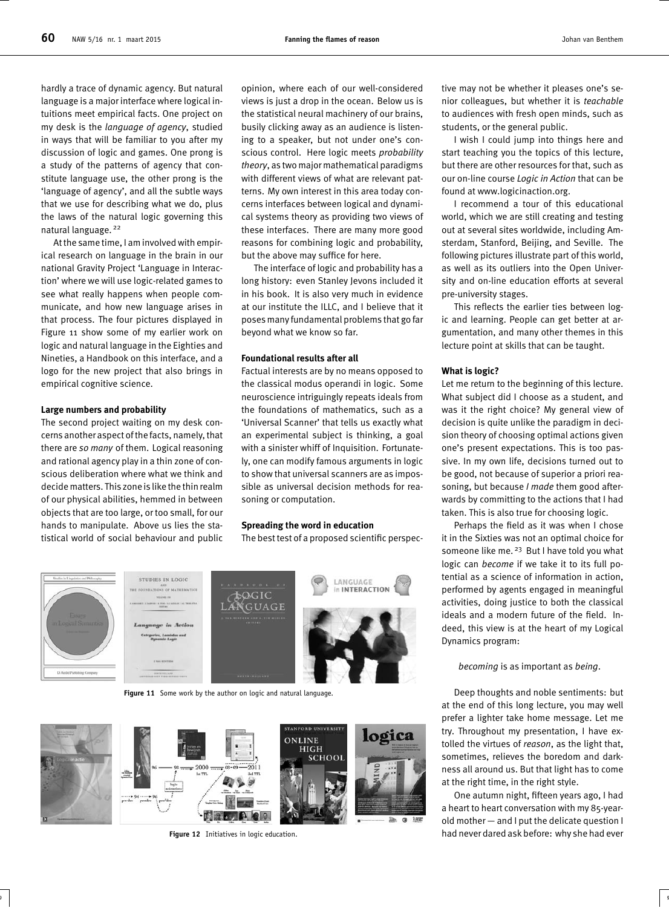hardly a trace of dynamic agency. But natural language is a major interface where logical intuitions meet empirical facts. One project on my desk is the *language of agency*, studied in ways that will be familiar to you after my discussion of logic and games. One prong is a study of the patterns of agency that constitute language use, the other prong is the 'language of agency', and all the subtle ways that we use for describing what we do, plus the laws of the natural logic governing this natural language. <sup>22</sup>

At the same time, I am involved with empirical research on language in the brain in our national Gravity Project 'Language in Interaction' where we will use logic-related games to see what really happens when people communicate, and how new language arises in that process. The four pictures displayed in Figure 11 show some of my earlier work on logic and natural language in the Eighties and Nineties, a Handbook on this interface, and a logo for the new project that also brings in empirical cognitive science.

#### **Large numbers and probability**

The second project waiting on my desk concerns another aspect of thefacts, namely, that there are *so many* of them. Logical reasoning and rational agency play in a thin zone of conscious deliberation where what we think and decide matters. This zone is like the thin realm of our physical abilities, hemmed in between objects that are too large, or too small, for our hands to manipulate. Above us lies the statistical world of social behaviour and public

opinion, where each of our well-considered views is just a drop in the ocean. Below us is the statistical neural machinery of our brains, busily clicking away as an audience is listening to a speaker, but not under one's conscious control. Here logic meets *probability theory*, as two major mathematical paradigms with different views of what are relevant patterns. My own interest in this area today concerns interfaces between logical and dynamical systems theory as providing two views of these interfaces. There are many more good reasons for combining logic and probability, but the above may suffice for here.

The interface of logic and probability has a long history: even Stanley Jevons included it in his book. It is also very much in evidence at our institute the ILLC, and I believe that it poses many fundamental problems that go far beyond what we know so far.

#### **Foundational results after all**

Factual interests are by no means opposed to the classical modus operandi in logic. Some neuroscience intriguingly repeats ideals from the foundations of mathematics, such as a 'Universal Scanner' that tells us exactly what an experimental subject is thinking, a goal with a sinister whiff of Inquisition. Fortunately, one can modify famous arguments in logic to show that universal scanners are as impossible as universal decision methods for reasoning or computation.

#### **Spreading the word in education**

The best test of a proposed scientific perspec-

9 9



Figure 11 Some work by the author on logic and natural language.



**Figure 12** Initiatives in logic education.

tive may not be whether it pleases one's senior colleagues, but whether it is *teachable* to audiences with fresh open minds, such as students, or the general public.

I wish I could jump into things here and start teaching you the topics of this lecture, but there are other resources for that, such as our on-line course *Logic in Action* that can be found at www.logicinaction.org.

I recommend a tour of this educational world, which we are still creating and testing out at several sites worldwide, including Amsterdam, Stanford, Beijing, and Seville. The following pictures illustrate part of this world, as well as its outliers into the Open University and on-line education efforts at several pre-university stages.

This reflects the earlier ties between logic and learning. People can get better at argumentation, and many other themes in this lecture point at skills that can be taught.

#### **What is logic?**

Let me return to the beginning of this lecture. What subject did I choose as a student, and was it the right choice? My general view of decision is quite unlike the paradigm in decision theory of choosing optimal actions given one's present expectations. This is too passive. In my own life, decisions turned out to be good, not because of superior a priori reasoning, but because *I made* them good afterwards by committing to the actions that I had taken. This is also true for choosing logic.

Perhaps the field as it was when I chose it in the Sixties was not an optimal choice for someone like me.<sup>23</sup> But I have told you what logic can *become* if we take it to its full potential as a science of information in action, performed by agents engaged in meaningful activities, doing justice to both the classical ideals and a modern future of the field. Indeed, this view is at the heart of my Logical Dynamics program:

#### *becoming* is as important as *being*.

Deep thoughts and noble sentiments: but at the end of this long lecture, you may well prefer a lighter take home message. Let me try. Throughout my presentation, I have extolled the virtues of *reason*, as the light that, sometimes, relieves the boredom and darkness all around us. But that light has to come at the right time, in the right style.

One autumn night, fifteen years ago, I had a heart to heart conversation with my 85-yearold mother — and I put the delicate question I had never dared ask before: why she had ever